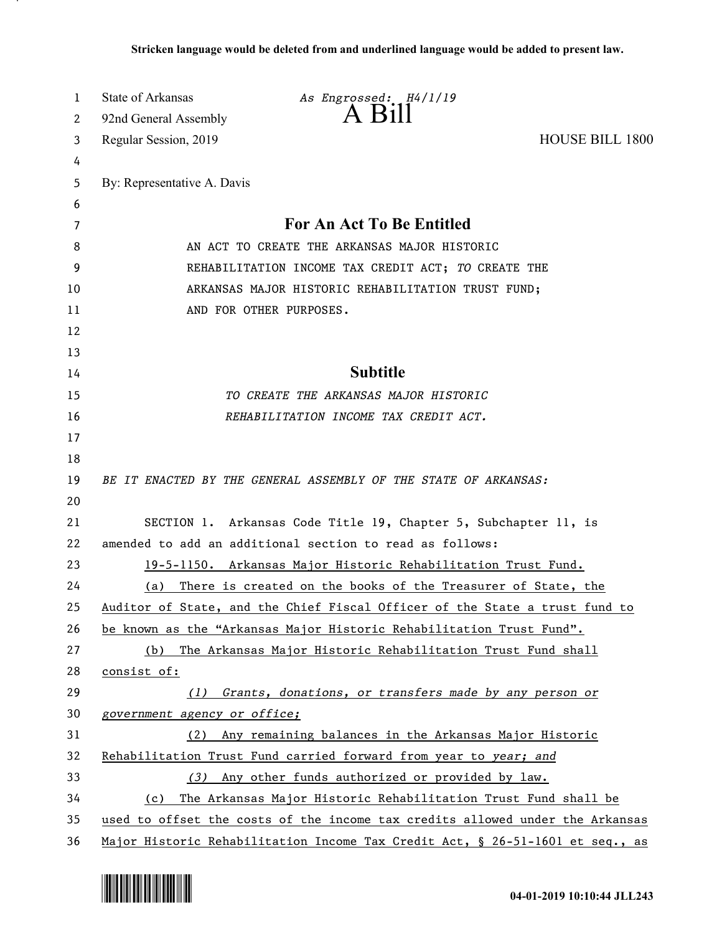| 1  | State of Arkansas            | As Engrossed: H4/1/19                                                         |                        |
|----|------------------------------|-------------------------------------------------------------------------------|------------------------|
| 2  | 92nd General Assembly        | $A$ Bill                                                                      |                        |
| 3  | Regular Session, 2019        |                                                                               | <b>HOUSE BILL 1800</b> |
| 4  |                              |                                                                               |                        |
| 5  | By: Representative A. Davis  |                                                                               |                        |
| 6  |                              |                                                                               |                        |
| 7  |                              | For An Act To Be Entitled                                                     |                        |
| 8  |                              | AN ACT TO CREATE THE ARKANSAS MAJOR HISTORIC                                  |                        |
| 9  |                              | REHABILITATION INCOME TAX CREDIT ACT; TO CREATE THE                           |                        |
| 10 |                              | ARKANSAS MAJOR HISTORIC REHABILITATION TRUST FUND;                            |                        |
| 11 |                              | AND FOR OTHER PURPOSES.                                                       |                        |
| 12 |                              |                                                                               |                        |
| 13 |                              |                                                                               |                        |
| 14 |                              | <b>Subtitle</b>                                                               |                        |
| 15 |                              | TO CREATE THE ARKANSAS MAJOR HISTORIC                                         |                        |
| 16 |                              | REHABILITATION INCOME TAX CREDIT ACT.                                         |                        |
| 17 |                              |                                                                               |                        |
| 18 |                              |                                                                               |                        |
| 19 |                              | BE IT ENACTED BY THE GENERAL ASSEMBLY OF THE STATE OF ARKANSAS:               |                        |
| 20 |                              |                                                                               |                        |
| 21 |                              | SECTION 1. Arkansas Code Title 19, Chapter 5, Subchapter 11, is               |                        |
| 22 |                              | amended to add an additional section to read as follows:                      |                        |
| 23 |                              | 19-5-1150. Arkansas Major Historic Rehabilitation Trust Fund.                 |                        |
| 24 |                              | (a) There is created on the books of the Treasurer of State, the              |                        |
| 25 |                              | Auditor of State, and the Chief Fiscal Officer of the State a trust fund to   |                        |
| 26 |                              | be known as the "Arkansas Major Historic Rehabilitation Trust Fund".          |                        |
| 27 | (b)                          | The Arkansas Major Historic Rehabilitation Trust Fund shall                   |                        |
| 28 | consist of:                  |                                                                               |                        |
| 29 | (1)                          | Grants, donations, or transfers made by any person or                         |                        |
| 30 | government agency or office; |                                                                               |                        |
| 31 | (2)                          | Any remaining balances in the Arkansas Major Historic                         |                        |
| 32 |                              | Rehabilitation Trust Fund carried forward from year to year; and              |                        |
| 33 |                              | (3) Any other funds authorized or provided by law.                            |                        |
| 34 | (c)                          | The Arkansas Major Historic Rehabilitation Trust Fund shall be                |                        |
| 35 |                              | used to offset the costs of the income tax credits allowed under the Arkansas |                        |
| 36 |                              | Major Historic Rehabilitation Income Tax Credit Act, § 26-51-1601 et seq., as |                        |

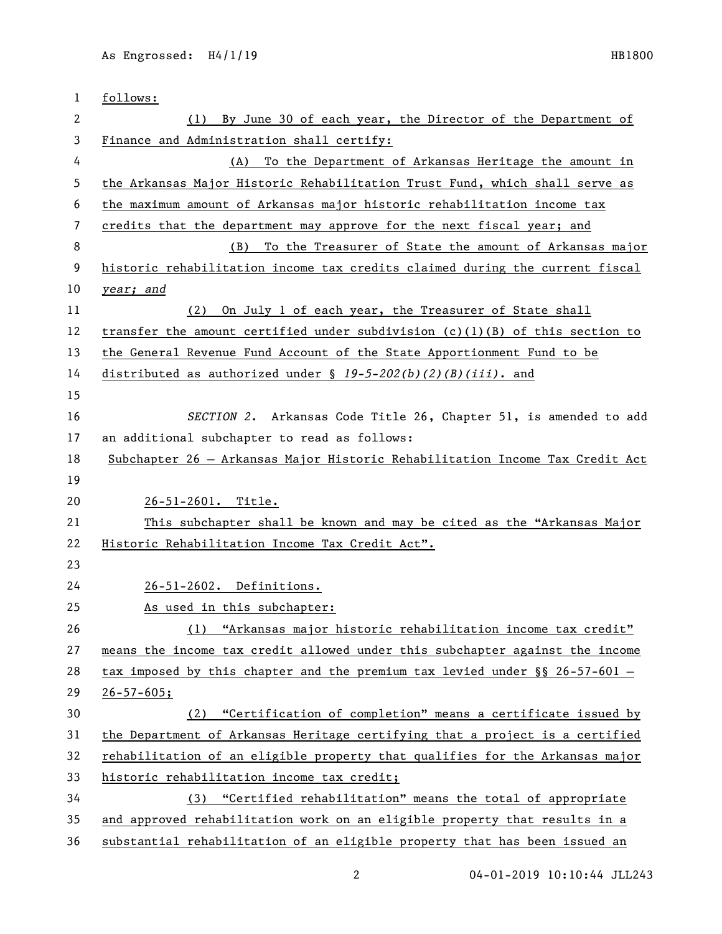| 1  | follows:                                                                                        |
|----|-------------------------------------------------------------------------------------------------|
| 2  | By June 30 of each year, the Director of the Department of<br>(1)                               |
| 3  | Finance and Administration shall certify:                                                       |
| 4  | To the Department of Arkansas Heritage the amount in<br>(A)                                     |
| 5  | the Arkansas Major Historic Rehabilitation Trust Fund, which shall serve as                     |
| 6  | the maximum amount of Arkansas major historic rehabilitation income tax                         |
| 7  | credits that the department may approve for the next fiscal year; and                           |
| 8  | To the Treasurer of State the amount of Arkansas major<br>(B)                                   |
| 9  | historic rehabilitation income tax credits claimed during the current fiscal                    |
| 10 | year; and                                                                                       |
| 11 | On July 1 of each year, the Treasurer of State shall<br>(2)                                     |
| 12 | transfer the amount certified under subdivision $(c)(1)(B)$ of this section to                  |
| 13 | the General Revenue Fund Account of the State Apportionment Fund to be                          |
| 14 | distributed as authorized under $\frac{19-5-202(b)(2)(B)(iii)}{2}$ . and                        |
| 15 |                                                                                                 |
| 16 | SECTION 2. Arkansas Code Title 26, Chapter 51, is amended to add                                |
| 17 | an additional subchapter to read as follows:                                                    |
| 18 | Subchapter 26 - Arkansas Major Historic Rehabilitation Income Tax Credit Act                    |
| 19 |                                                                                                 |
| 20 | 26-51-2601. Title.                                                                              |
| 21 | This subchapter shall be known and may be cited as the "Arkansas Major"                         |
| 22 | Historic Rehabilitation Income Tax Credit Act".                                                 |
| 23 |                                                                                                 |
| 24 | 26-51-2602. Definitions.                                                                        |
| 25 | As used in this subchapter:                                                                     |
| 26 | "Arkansas major historic rehabilitation income tax credit"<br>(1)                               |
| 27 | means the income tax credit allowed under this subchapter against the income                    |
| 28 | <u>tax imposed by this chapter and the premium tax levied under <math>\S</math> 26-57-601 -</u> |
| 29 | $26 - 57 - 605;$                                                                                |
| 30 | (2) "Certification of completion" means a certificate issued by                                 |
| 31 | the Department of Arkansas Heritage certifying that a project is a certified                    |
| 32 | rehabilitation of an eligible property that qualifies for the Arkansas major                    |
| 33 | historic rehabilitation income tax credit;                                                      |
| 34 | (3) "Certified rehabilitation" means the total of appropriate                                   |
| 35 | and approved rehabilitation work on an eligible property that results in a                      |
| 36 | substantial rehabilitation of an eligible property that has been issued an                      |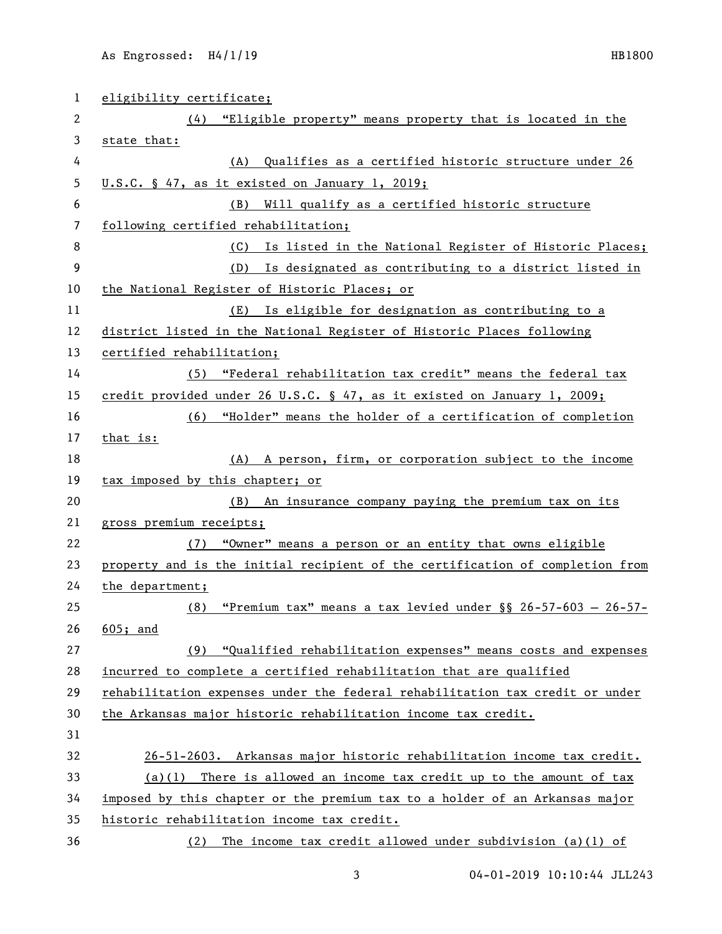| 1  | eligibility certificate;                                                      |
|----|-------------------------------------------------------------------------------|
| 2  | (4) "Eligible property" means property that is located in the                 |
| 3  | state that:                                                                   |
| 4  | (A) Qualifies as a certified historic structure under 26                      |
| 5  | U.S.C. § 47, as it existed on January 1, 2019;                                |
| 6  | Will qualify as a certified historic structure<br>(B)                         |
| 7  | following certified rehabilitation;                                           |
| 8  | (C) Is listed in the National Register of Historic Places;                    |
| 9  | (D) Is designated as contributing to a district listed in                     |
| 10 | the National Register of Historic Places; or                                  |
| 11 | (E) Is eligible for designation as contributing to a                          |
| 12 | district listed in the National Register of Historic Places following         |
| 13 | certified rehabilitation;                                                     |
| 14 | (5) "Federal rehabilitation tax credit" means the federal tax                 |
| 15 | credit provided under 26 U.S.C. § 47, as it existed on January 1, 2009;       |
| 16 | (6) "Holder" means the holder of a certification of completion                |
| 17 | that is:                                                                      |
| 18 | (A) A person, firm, or corporation subject to the income                      |
| 19 | tax imposed by this chapter; or                                               |
| 20 | (B) An insurance company paying the premium tax on its                        |
| 21 | gross premium receipts;                                                       |
| 22 | "Owner" means a person or an entity that owns eligible<br>(7)                 |
| 23 | property and is the initial recipient of the certification of completion from |
| 24 | the department;                                                               |
| 25 | (8) "Premium tax" means a tax levied under $\S$ 26-57-603 - 26-57-            |
| 26 | $605;$ and                                                                    |
| 27 | "Qualified rehabilitation expenses" means costs and expenses<br>(9)           |
| 28 | incurred to complete a certified rehabilitation that are qualified            |
| 29 | rehabilitation expenses under the federal rehabilitation tax credit or under  |
| 30 | the Arkansas major historic rehabilitation income tax credit.                 |
| 31 |                                                                               |
| 32 | 26-51-2603. Arkansas major historic rehabilitation income tax credit.         |
| 33 | There is allowed an income tax credit up to the amount of tax<br>(a)(1)       |
| 34 | imposed by this chapter or the premium tax to a holder of an Arkansas major   |
| 35 | historic rehabilitation income tax credit.                                    |
| 36 | (2) The income tax credit allowed under subdivision (a)(1) of                 |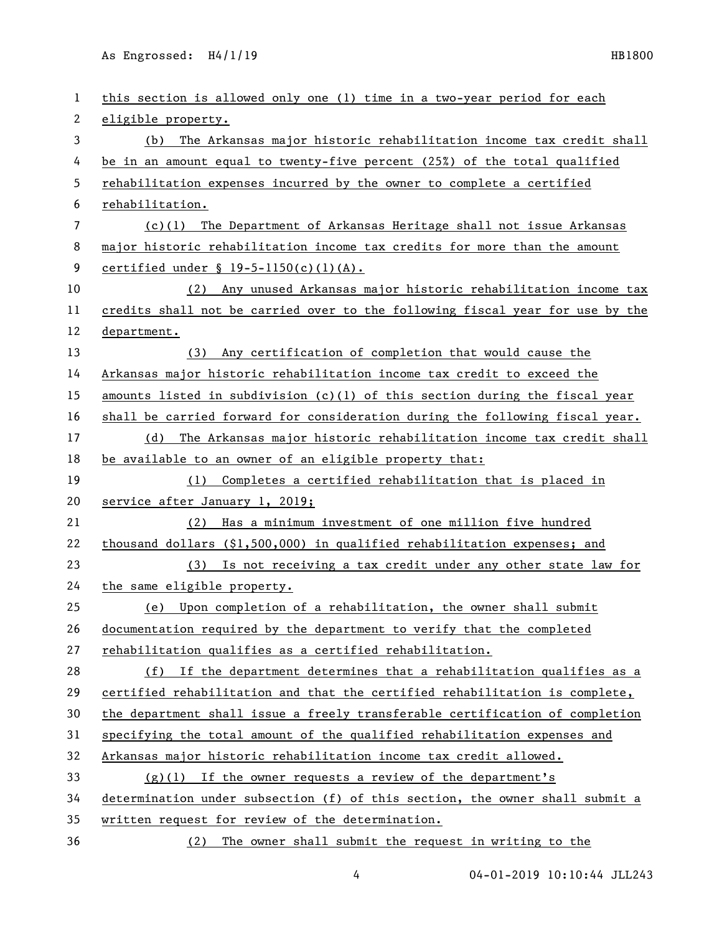| 1              | this section is allowed only one (1) time in a two-year period for each       |
|----------------|-------------------------------------------------------------------------------|
| 2              | eligible property.                                                            |
| 3              | The Arkansas major historic rehabilitation income tax credit shall<br>(b)     |
| 4              | be in an amount equal to twenty-five percent (25%) of the total qualified     |
| 5              | rehabilitation expenses incurred by the owner to complete a certified         |
| 6              | rehabilitation.                                                               |
| $\overline{7}$ | (c)(1) The Department of Arkansas Heritage shall not issue Arkansas           |
| 8              | major historic rehabilitation income tax credits for more than the amount     |
| 9              | certified under $\S$ 19-5-1150(c)(1)(A).                                      |
| 10             | (2) Any unused Arkansas major historic rehabilitation income tax              |
| 11             | credits shall not be carried over to the following fiscal year for use by the |
| 12             | department.                                                                   |
| 13             | (3) Any certification of completion that would cause the                      |
| 14             | Arkansas major historic rehabilitation income tax credit to exceed the        |
| 15             | amounts listed in subdivision $(c)(1)$ of this section during the fiscal year |
| 16             | shall be carried forward for consideration during the following fiscal year.  |
| 17             | The Arkansas major historic rehabilitation income tax credit shall<br>(d)     |
| 18             | be available to an owner of an eligible property that:                        |
| 19             | (1) Completes a certified rehabilitation that is placed in                    |
| 20             | service after January 1, 2019;                                                |
| 21             | Has a minimum investment of one million five hundred<br>(2)                   |
| 22             | thousand dollars $(\$1,500,000)$ in qualified rehabilitation expenses; and    |
| 23             | (3) Is not receiving a tax credit under any other state law for               |
| 24             | the same eligible property.                                                   |
| 25             | (e) Upon completion of a rehabilitation, the owner shall submit               |
| 26             | documentation required by the department to verify that the completed         |
| 27             | rehabilitation qualifies as a certified rehabilitation.                       |
| 28             | (f) If the department determines that a rehabilitation qualifies as a         |
| 29             | certified rehabilitation and that the certified rehabilitation is complete,   |
| 30             | the department shall issue a freely transferable certification of completion  |
| 31             | specifying the total amount of the qualified rehabilitation expenses and      |
| 32             | Arkansas major historic rehabilitation income tax credit allowed.             |
| 33             | $(g)(1)$ If the owner requests a review of the department's                   |
| 34             | determination under subsection (f) of this section, the owner shall submit a  |
| 35             | written request for review of the determination.                              |
| 36             | The owner shall submit the request in writing to the<br>(2)                   |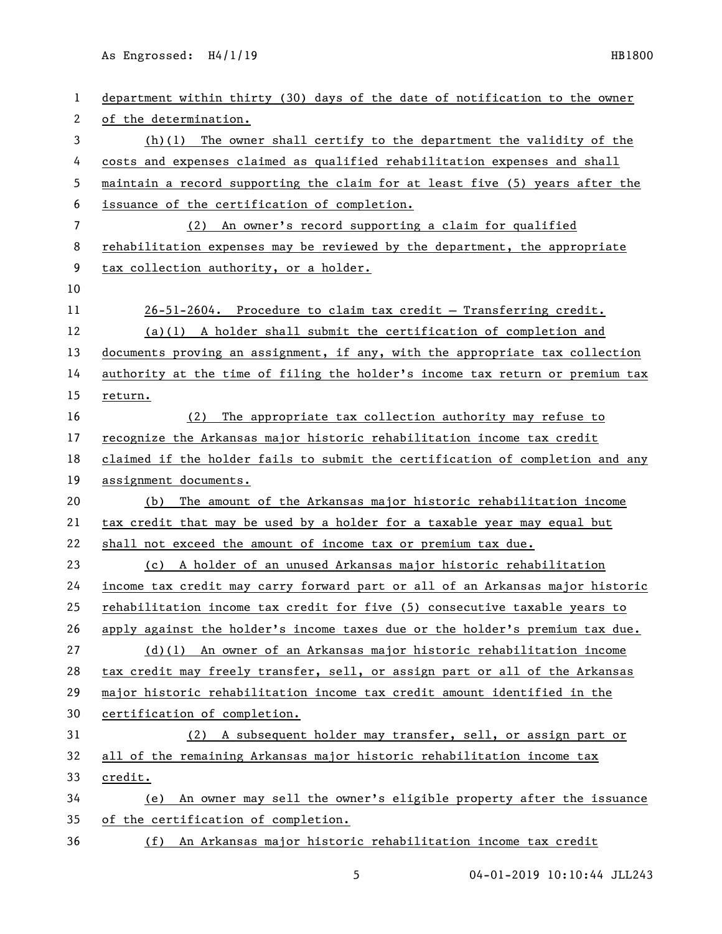| 1  | department within thirty (30) days of the date of notification to the owner   |
|----|-------------------------------------------------------------------------------|
| 2  | of the determination.                                                         |
| 3  | $(h)(1)$ The owner shall certify to the department the validity of the        |
| 4  | costs and expenses claimed as qualified rehabilitation expenses and shall     |
| 5  | maintain a record supporting the claim for at least five (5) years after the  |
| 6  | issuance of the certification of completion.                                  |
| 7  | (2) An owner's record supporting a claim for qualified                        |
| 8  | rehabilitation expenses may be reviewed by the department, the appropriate    |
| 9  | tax collection authority, or a holder.                                        |
| 10 |                                                                               |
| 11 | 26-51-2604. Procedure to claim tax credit - Transferring credit.              |
| 12 | $(a)(1)$ A holder shall submit the certification of completion and            |
| 13 | documents proving an assignment, if any, with the appropriate tax collection  |
| 14 | authority at the time of filing the holder's income tax return or premium tax |
| 15 | return.                                                                       |
| 16 | (2) The appropriate tax collection authority may refuse to                    |
| 17 | recognize the Arkansas major historic rehabilitation income tax credit        |
| 18 | claimed if the holder fails to submit the certification of completion and any |
| 19 | assignment documents.                                                         |
| 20 | (b) The amount of the Arkansas major historic rehabilitation income           |
| 21 | tax credit that may be used by a holder for a taxable year may equal but      |
| 22 | shall not exceed the amount of income tax or premium tax due.                 |
| 23 | (c) A holder of an unused Arkansas major historic rehabilitation              |
| 24 | income tax credit may carry forward part or all of an Arkansas major historic |
| 25 | rehabilitation income tax credit for five (5) consecutive taxable years to    |
| 26 | apply against the holder's income taxes due or the holder's premium tax due.  |
| 27 | (d)(l) An owner of an Arkansas major historic rehabilitation income           |
| 28 | tax credit may freely transfer, sell, or assign part or all of the Arkansas   |
| 29 | major historic rehabilitation income tax credit amount identified in the      |
| 30 | certification of completion.                                                  |
| 31 | (2) A subsequent holder may transfer, sell, or assign part or                 |
| 32 | all of the remaining Arkansas major historic rehabilitation income tax        |
| 33 | credit.                                                                       |
| 34 | An owner may sell the owner's eligible property after the issuance<br>(e)     |
| 35 | of the certification of completion.                                           |
| 36 | An Arkansas major historic rehabilitation income tax credit<br>(f)            |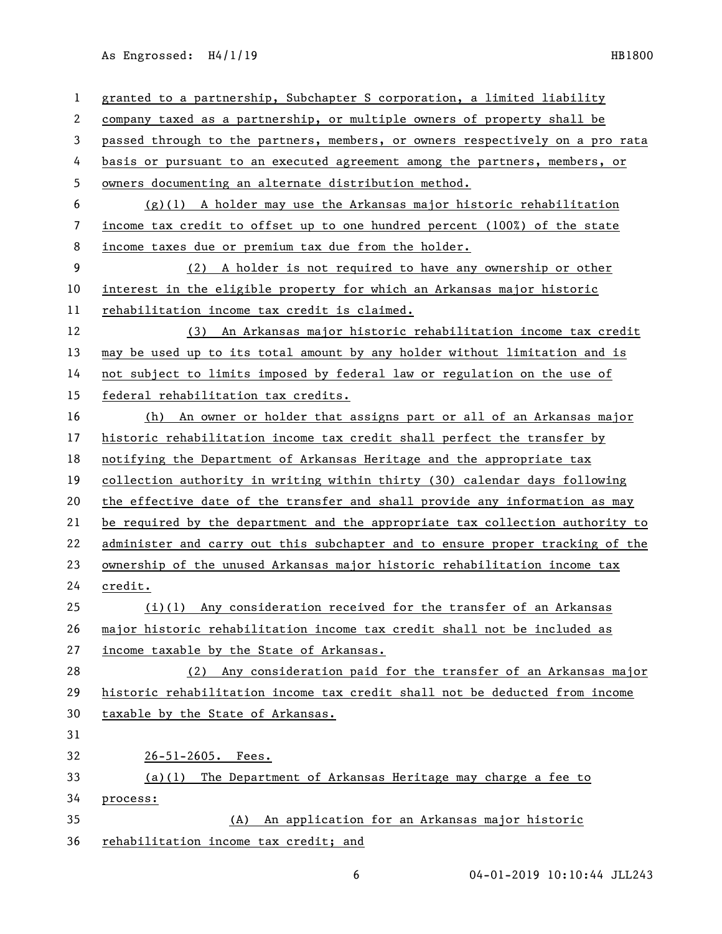| 1  | granted to a partnership, Subchapter S corporation, a limited liability       |
|----|-------------------------------------------------------------------------------|
| 2  | company taxed as a partnership, or multiple owners of property shall be       |
| 3  | passed through to the partners, members, or owners respectively on a pro rata |
| 4  | basis or pursuant to an executed agreement among the partners, members, or    |
| 5  | owners documenting an alternate distribution method.                          |
| 6  | $(g)(1)$ A holder may use the Arkansas major historic rehabilitation          |
| 7  | income tax credit to offset up to one hundred percent (100%) of the state     |
| 8  | income taxes due or premium tax due from the holder.                          |
| 9  | (2) A holder is not required to have any ownership or other                   |
| 10 | interest in the eligible property for which an Arkansas major historic        |
| 11 | rehabilitation income tax credit is claimed.                                  |
| 12 | (3) An Arkansas major historic rehabilitation income tax credit               |
| 13 | may be used up to its total amount by any holder without limitation and is    |
| 14 | not subject to limits imposed by federal law or regulation on the use of      |
| 15 | federal rehabilitation tax credits.                                           |
| 16 | (h) An owner or holder that assigns part or all of an Arkansas major          |
| 17 | historic rehabilitation income tax credit shall perfect the transfer by       |
| 18 | notifying the Department of Arkansas Heritage and the appropriate tax         |
| 19 | collection authority in writing within thirty (30) calendar days following    |
| 20 | the effective date of the transfer and shall provide any information as may   |
| 21 | be required by the department and the appropriate tax collection authority to |
| 22 | administer and carry out this subchapter and to ensure proper tracking of the |
| 23 | ownership of the unused Arkansas major historic rehabilitation income tax     |
| 24 | credit.                                                                       |
| 25 | $(i)(1)$ Any consideration received for the transfer of an Arkansas           |
| 26 | major historic rehabilitation income tax credit shall not be included as      |
| 27 | income taxable by the State of Arkansas.                                      |
| 28 | (2) Any consideration paid for the transfer of an Arkansas major              |
| 29 | historic rehabilitation income tax credit shall not be deducted from income   |
| 30 | taxable by the State of Arkansas.                                             |
| 31 |                                                                               |
| 32 | $26 - 51 - 2605$ . Fees.                                                      |
| 33 | (a)(1) The Department of Arkansas Heritage may charge a fee to                |
| 34 | process:                                                                      |
| 35 | An application for an Arkansas major historic<br>(A)                          |
| 36 | rehabilitation income tax credit; and                                         |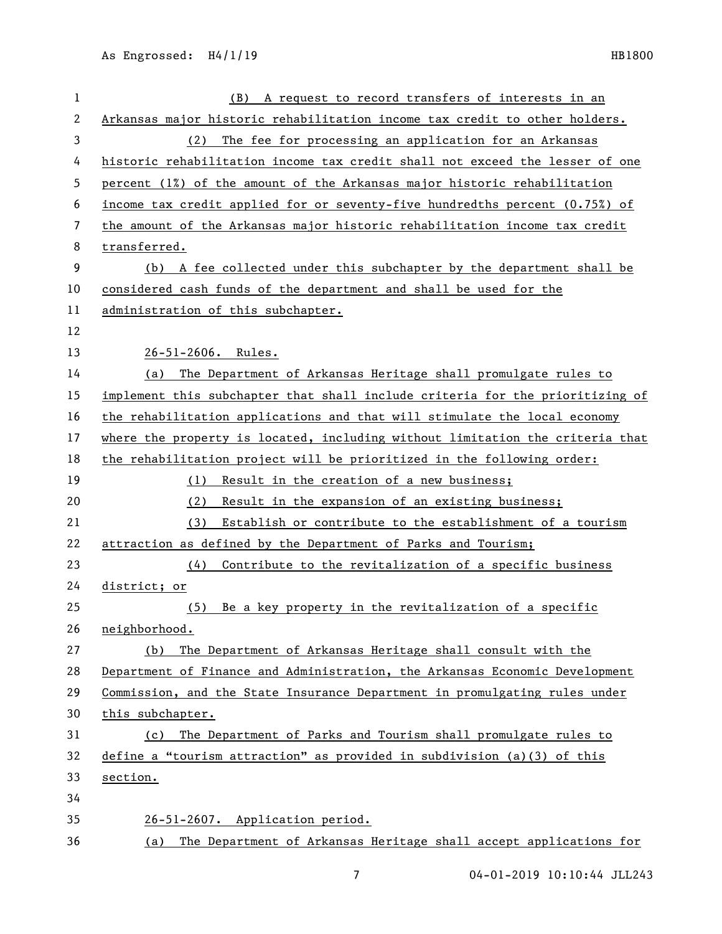| $\mathbf{1}$ | A request to record transfers of interests in an<br>(B)                       |
|--------------|-------------------------------------------------------------------------------|
| 2            | Arkansas major historic rehabilitation income tax credit to other holders.    |
| 3            | The fee for processing an application for an Arkansas<br>(2)                  |
| 4            | historic rehabilitation income tax credit shall not exceed the lesser of one  |
| 5            | percent (1%) of the amount of the Arkansas major historic rehabilitation      |
| 6            | income tax credit applied for or seventy-five hundredths percent (0.75%) of   |
| 7            | the amount of the Arkansas major historic rehabilitation income tax credit    |
| 8            | transferred.                                                                  |
| 9            | (b) A fee collected under this subchapter by the department shall be          |
| 10           | considered cash funds of the department and shall be used for the             |
| 11           | administration of this subchapter.                                            |
| 12           |                                                                               |
| 13           | 26-51-2606. Rules.                                                            |
| 14           | The Department of Arkansas Heritage shall promulgate rules to<br>(a)          |
| 15           | implement this subchapter that shall include criteria for the prioritizing of |
| 16           | the rehabilitation applications and that will stimulate the local economy     |
| 17           | where the property is located, including without limitation the criteria that |
| 18           | the rehabilitation project will be prioritized in the following order:        |
| 19           | (1) Result in the creation of a new business;                                 |
| 20           | (2)<br>Result in the expansion of an existing business;                       |
| 21           | Establish or contribute to the establishment of a tourism<br>(3)              |
| 22           | attraction as defined by the Department of Parks and Tourism;                 |
| 23           | Contribute to the revitalization of a specific business<br>(4)                |
| 24           | district; or                                                                  |
| 25           | Be a key property in the revitalization of a specific<br>(5)                  |
| 26           | neighborhood.                                                                 |
| 27           | The Department of Arkansas Heritage shall consult with the<br>(b)             |
| 28           | Department of Finance and Administration, the Arkansas Economic Development   |
| 29           | Commission, and the State Insurance Department in promulgating rules under    |
| 30           | this subchapter.                                                              |
| 31           | The Department of Parks and Tourism shall promulgate rules to<br>(c)          |
| 32           | define a "tourism attraction" as provided in subdivision (a)(3) of this       |
| 33           | section.                                                                      |
| 34           |                                                                               |
| 35           | 26-51-2607. Application period.                                               |
| 36           | The Department of Arkansas Heritage shall accept applications for<br>(a)      |